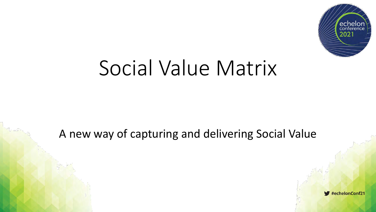

# Social Value Matrix

#### A new way of capturing and delivering Social Value

#echelonConf21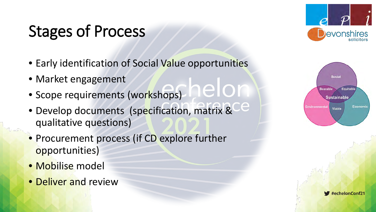## Stages of Process

• Early identification of Social Value opportunities

lelon

- Market engagement
- Scope requirements (workshops)
- Develop documents (specification, matrix & qualitative questions)
- Procurement process (if CD explore further opportunities)
- Mobilise model
- Deliver and review





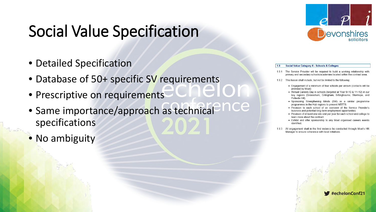#### Social Value Specification

- Detailed Specification
- Database of 50+ specific SV requirements
- Prescriptive on requirements
- Same importance/approach as technical<sup>2</sup> nCel specifications
- No ambiguity



#### Social Value Category 6 - Schools & Colleges

1.9.1 The Service Provider will be required to build a working relationship with primary and secondary schools/academies located within the contract area.

192 This liaison shall include, but not be limited to the following:

- Engagement of a minimum of four schools per annum (contacts will be provided by Moat)
- Annual Careers Day in schools (targeted at Year 9+10 & 11+12) in our key regions (Gravesham, Gillingham, Sittingbourne, Stanhope, and Pollards Hill).
- Sponsoring Strengthening Minds (SM) or a similar programme programmes in the Hub regions to prevent NEETS.
- Provision to each school of an overview of the Service Provider's business and potential long-term employment opportunities
- Provision of at least one site visit per year for each school and college to learn more about the contract
- Exhibit and offer sponsorship to any Moat organised careers events identified
- 1.9.3 All engagement shall in the first instance be conducted through Moat's HR Manager to ensure coherence with local initiatives.

 $\blacktriangleright$ #echelonConf21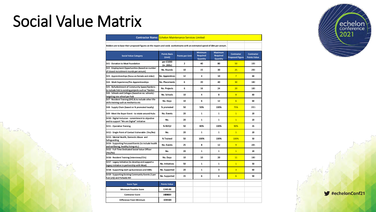### Social Value Matrix

| <b>Contractor Name: Echelon Maintenance Services Limited</b>                                                              |                               |                        |                                               |                                               |                                             |                                          |
|---------------------------------------------------------------------------------------------------------------------------|-------------------------------|------------------------|-----------------------------------------------|-----------------------------------------------|---------------------------------------------|------------------------------------------|
| Bidders are to base their proposed figures on the repairs and voids workstreams with an estimated spend of £8m per annum. |                               |                        |                                               |                                               |                                             |                                          |
| <b>Social Value Category</b>                                                                                              | <b>Points Basis</b><br>(Unit) | <b>Points per Unit</b> | <b>Minimum</b><br><b>Required</b><br>Quantity | <b>Maximum</b><br><b>Required</b><br>Quantity | <b>Contractor</b><br><b>Proposed Figure</b> | <b>Contractor</b><br><b>Points Value</b> |
| SV1 - Donation to Moat Foundation                                                                                         | per £1000<br>(in,000s)        | $\overline{2}$         | 40                                            | 80                                            | 50                                          | 100                                      |
| SV2 - Employment Opportunities (based on number<br>of closed recruitment rounds per annum)                                | No. Rounds                    | 10                     | 15                                            | 30                                            | 25                                          | 280                                      |
| SV3 - Apprenticeships (focus on female and older)                                                                         | No. Apprentices               | 12                     | 4                                             | 10                                            | $\overline{7}$                              | 834                                      |
| SV4 - Work Experience/Pre-Apprenticeships                                                                                 | No. Placements                | 6                      | 20                                            | 40                                            | 30                                          | 100                                      |
| SV5 - Refurbishment of Community Space/Gardens -<br>to include link to existing projects such as "Garden                  | No. Projects                  | 6                      | 16                                            | 24                                            | 20                                          | 100                                      |
| SV6 - Schools and Colleges (based on no. schools) -<br>targeting one school per hub                                       | No. Schools                   | 10                     | 4                                             | 8                                             | $\overline{8}$                              | 80                                       |
| SV7 - Resident Training (DIY) & to include other life-<br>skills training such as mechanics etc                           | No. Days                      | 10                     | 6                                             | 12                                            | $6\overline{6}$                             | ௵                                        |
| SV8 - Supply Chain (based on % promoted locally)                                                                          | % promoted                    | 50                     | 50%                                           | 100%                                          | 75%                                         | 3D.5                                     |
| SV9 - Meet the Buyer Event - to rotate around Hubs                                                                        | No. Events                    | 20                     | $\mathbf{1}$                                  | $\mathbf{1}$                                  | $\mathbf{1}$                                | 200                                      |
| SV10 - Digital Inclusion - commitment to objective<br>and to support "We are Digital" initiative                          | No.                           | 20                     | $\mathbf{1}$                                  | $\mathbf{1}$                                  | $\overline{1}$                              | 20                                       |
| SV11 - Operative Training                                                                                                 | % NVQ2                        | 50                     | 80%                                           | 100%                                          | 90%                                         | 45                                       |
| SV12 - Single Point of Contact Vulnerable (Yes/No)                                                                        | No.                           | 20                     | $\mathbf{1}$                                  | $\mathbf{1}$                                  | $\overline{1}$                              | 200                                      |
| SV13 - Mental Health, Domestic Abuse and<br>Safeguarding                                                                  | % Trained                     | 50                     | 100%                                          | 100%                                          | 100%                                        | 50                                       |
| SV14 - Supporting Focussed Events (to include health<br>and wellbeing, healthy living etc.)                               | No. Events                    | 25                     | 8                                             | 12                                            | 9                                           | 205                                      |
| SV15 - Full-Time Dedicated Social Value Officer<br>(Yes/No)                                                               | No.                           | 20                     | $\mathbf{1}$                                  | $\mathbf{1}$                                  | $\mathbf{1}$                                | 20                                       |
| SV16 - Resident Training (Interviews/CVs)                                                                                 | No. Days                      | 10                     | 10                                            | 20                                            | 11                                          | 100                                      |
| SV17 - Legacy Initiative (to develop and support a<br>legacy initiative in partnership with Moat)                         | No. Initiatives               | 50                     | $\mathbf{1}$                                  | $\mathbf{1}$                                  | $\mathbf{1}$                                | 50                                       |
| SV18 - Supporting start-up businesses and SMEs                                                                            | No. Supported                 | 20                     | $\mathbf{1}$                                  | 3                                             | $\overline{3}$                              | ை                                        |
| SV19 - Supporting Existing Community Events (1 per<br>hub (x5)) and Pollards Hill                                         | No. Supported                 | 15                     | 6                                             | 6                                             | 6                                           | 90                                       |
| <b>Score Type</b>                                                                                                         | <b>Points Value</b>           |                        |                                               |                                               |                                             |                                          |
| Minimum Possible Score                                                                                                    | 1249.00                       |                        |                                               |                                               |                                             |                                          |
| <b>Contractor Score</b>                                                                                                   | 1620050                       |                        |                                               |                                               |                                             |                                          |
| <b>Difference From Minimum</b>                                                                                            | $-3249500$                    |                        |                                               |                                               |                                             |                                          |



 $\blacktriangleright$ #echelonConf21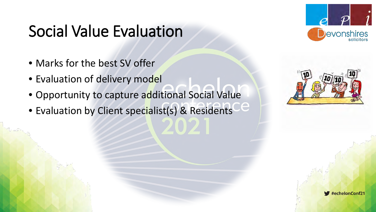#### Social Value Evaluation

- Marks for the best SV offer
- Evaluation of delivery model
- Opportunity to capture additional Social Value
- Evaluation by Client specialist(s) & Residents



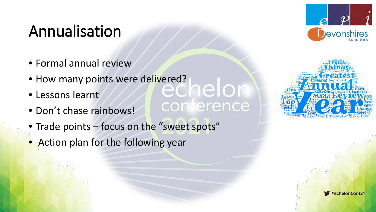#### Annualisation

- Formal annual review
- How many points were delivered?<br>• Lessons learnt
- Lessons learnt
- Don't chase rainbows!
- Trade points focus on the "sweet spots"

conterence

• Action plan for the following year





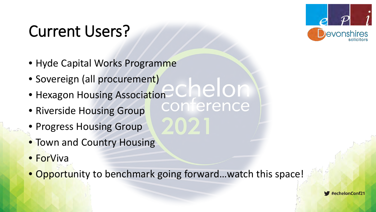### Current Users?



- Hyde Capital Works Programme
- Sovereign (all procurement)
- chelon • Hexagon Housing Association<br>• Riverside Housing Group CONTerence
- Riverside Housing Group
- Progress Housing Group
- Town and Country Housing
- ForViva
- Opportunity to benchmark going forward…watch this space!

 $\blacktriangleright$ #echelonConf21